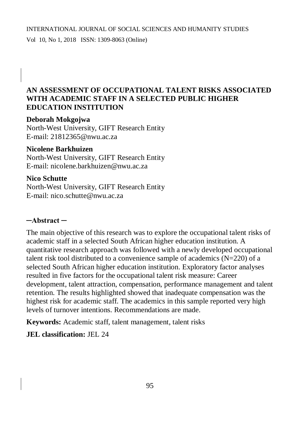#### INTERNATIONAL JOURNAL OF SOCIAL SCIENCES AND HUMANITY STUDIES

Vol 10, No 1, 2018 ISSN: 1309-8063 (Online)

### **AN ASSESSMENT OF OCCUPATIONAL TALENT RISKS ASSOCIATED WITH ACADEMIC STAFF IN A SELECTED PUBLIC HIGHER EDUCATION INSTITUTION**

### **Deborah Mokgojwa**

North-West University, GIFT Research Entity E-mail: [21812365@nwu.ac.za](mailto:21812365@nwu.ac.za)

#### **Nicolene Barkhuizen**

North-West University, GIFT Research Entity E-mail: [nicolene.barkhuizen@nwu.ac.za](mailto:nicolene.barkhuizen@nwu.ac.za)

#### **Nico Schutte**

North-West University, GIFT Research Entity E-mail: [nico.schutte@nwu.ac.za](mailto:nico.schutte@nwu.ac.za)

### **─Abstract ─**

The main objective of this research was to explore the occupational talent risks of academic staff in a selected South African higher education institution. A quantitative research approach was followed with a newly developed occupational talent risk tool distributed to a convenience sample of academics  $(N=220)$  of a selected South African higher education institution. Exploratory factor analyses resulted in five factors for the occupational talent risk measure: Career development, talent attraction, compensation, performance management and talent retention. The results highlighted showed that inadequate compensation was the highest risk for academic staff. The academics in this sample reported very high levels of turnover intentions. Recommendations are made.

**Keywords:** Academic staff, talent management, talent risks

### **JEL classification:** JEL 24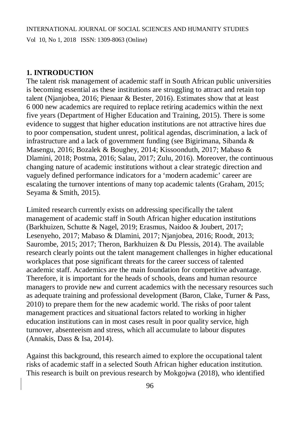### **1. INTRODUCTION**

The talent risk management of academic staff in South African public universities is becoming essential as these institutions are struggling to attract and retain top talent (Njanjobea, 2016; Pienaar & Bester, 2016). Estimates show that at least 6 000 new academics are required to replace retiring academics within the next five years (Department of Higher Education and Training, 2015). There is some evidence to suggest that higher education institutions are not attractive hires due to poor compensation, student unrest, political agendas, discrimination, a lack of infrastructure and a lack of government funding (see Bigirimana, Sibanda & Masengu, 2016; Bozalek & Boughey, 2014; Kissoonduth, 2017; Mabaso & Dlamini, 2018; Postma, 2016; Salau, 2017; Zulu, 2016). Moreover, the continuous changing nature of academic institutions without a clear strategic direction and vaguely defined performance indicators for a 'modern academic' career are escalating the turnover intentions of many top academic talents (Graham, 2015; Seyama & Smith, 2015).

Limited research currently exists on addressing specifically the talent management of academic staff in South African higher education institutions (Barkhuizen, Schutte & Nagel, 2019; Erasmus, Naidoo & Joubert, 2017; Lesenyeho, 2017; Mabaso & Dlamini, 2017; Njanjobea, 2016; Roodt, 2013; Saurombe, 2015; 2017; Theron, Barkhuizen & Du Plessis, 2014). The available research clearly points out the talent management challenges in higher educational workplaces that pose significant threats for the career success of talented academic staff. Academics are the main foundation for competitive advantage. Therefore, it is important for the heads of schools, deans and human resource managers to provide new and current academics with the necessary resources such as adequate training and professional development (Baron, Clake, Turner & Pass, 2010) to prepare them for the new academic world. The risks of poor talent management practices and situational factors related to working in higher education institutions can in most cases result in poor quality service, high turnover, absenteeism and stress, which all accumulate to labour disputes (Annakis, Dass & Isa, 2014).

Against this background, this research aimed to explore the occupational talent risks of academic staff in a selected South African higher education institution. This research is built on previous research by Mokgojwa (2018), who identified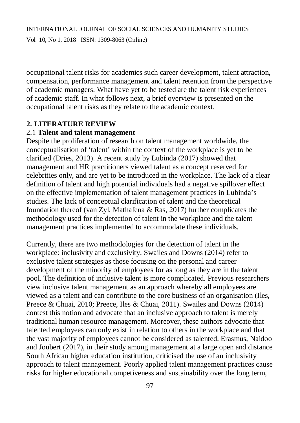occupational talent risks for academics such career development, talent attraction, compensation, performance management and talent retention from the perspective of academic managers. What have yet to be tested are the talent risk experiences of academic staff. In what follows next, a brief overview is presented on the occupational talent risks as they relate to the academic context.

### **2. LITERATURE REVIEW**

### 2.1 **Talent and talent management**

Despite the proliferation of research on talent management worldwide, the conceptualisation of 'talent' within the context of the workplace is yet to be clarified (Dries, 2013). A recent study by Lubinda (2017) showed that management and HR practitioners viewed talent as a concept reserved for celebrities only, and are yet to be introduced in the workplace. The lack of a clear definition of talent and high potential individuals had a negative spillover effect on the effective implementation of talent management practices in Lubinda's studies. The lack of conceptual clarification of talent and the theoretical foundation thereof (van Zyl, Mathafena & Ras, 2017) further complicates the methodology used for the detection of talent in the workplace and the talent management practices implemented to accommodate these individuals.

Currently, there are two methodologies for the detection of talent in the workplace: inclusivity and exclusivity. Swailes and Downs (2014) refer to exclusive talent strategies as those focusing on the personal and career development of the minority of employees for as long as they are in the talent pool. The definition of inclusive talent is more complicated. Previous researchers view inclusive talent management as an approach whereby all employees are viewed as a talent and can contribute to the core business of an organisation (Iles, Preece & Chuai, 2010; Preece, Iles & Chuai, 2011). Swailes and Downs (2014) contest this notion and advocate that an inclusive approach to talent is merely traditional human resource management. Moreover, these authors advocate that talented employees can only exist in relation to others in the workplace and that the vast majority of employees cannot be considered as talented. Erasmus, Naidoo and Joubert (2017), in their study among management at a large open and distance South African higher education institution, criticised the use of an inclusivity approach to talent management. Poorly applied talent management practices cause risks for higher educational competiveness and sustainability over the long term,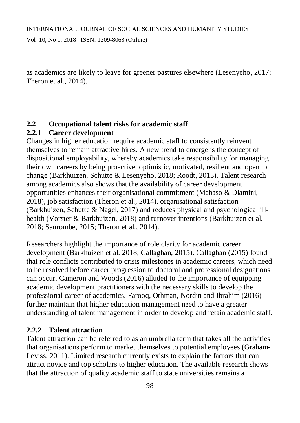as academics are likely to leave for greener pastures elsewhere (Lesenyeho, 2017; Theron et al., 2014).

## **2.2 Occupational talent risks for academic staff**

## **2.2.1 Career development**

Changes in higher education require academic staff to consistently reinvent themselves to remain attractive hires. A new trend to emerge is the concept of dispositional employability, whereby academics take responsibility for managing their own careers by being proactive, optimistic, motivated, resilient and open to change (Barkhuizen, Schutte & Lesenyeho, 2018; Roodt, 2013). Talent research among academics also shows that the availability of career development opportunities enhances their organisational commitment (Mabaso & Dlamini, 2018), job satisfaction (Theron et al., 2014), organisational satisfaction (Barkhuizen, Schutte & Nagel, 2017) and reduces physical and psychological illhealth (Vorster & Barkhuizen, 2018) and turnover intentions (Barkhuizen et al. 2018; Saurombe, 2015; Theron et al., 2014).

Researchers highlight the importance of role clarity for academic career development (Barkhuizen et al. 2018; Callaghan, 2015). Callaghan (2015) found that role conflicts contributed to crisis milestones in academic careers, which need to be resolved before career progression to doctoral and professional designations can occur. Cameron and Woods (2016) alluded to the importance of equipping academic development practitioners with the necessary skills to develop the professional career of academics. Farooq, Othman, Nordin and Ibrahim (2016) further maintain that higher education management need to have a greater understanding of talent management in order to develop and retain academic staff.

## **2.2.2 Talent attraction**

Talent attraction can be referred to as an umbrella term that takes all the activities that organisations perform to market themselves to potential employees (Graham-Leviss, 2011). Limited research currently exists to explain the factors that can attract novice and top scholars to higher education. The available research shows that the attraction of quality academic staff to state universities remains a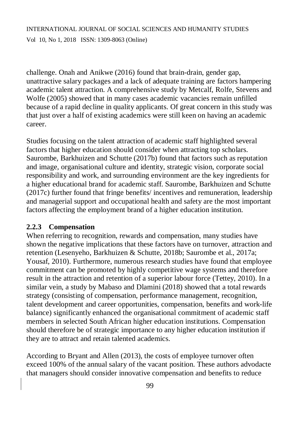## INTERNATIONAL JOURNAL OF SOCIAL SCIENCES AND HUMANITY STUDIES Vol 10, No 1, 2018 ISSN: 1309-8063 (Online)

challenge. Onah and Anikwe (2016) found that brain-drain, gender gap, unattractive salary packages and a lack of adequate training are factors hampering academic talent attraction. A comprehensive study by Metcalf, Rolfe, Stevens and Wolfe (2005) showed that in many cases academic vacancies remain unfilled because of a rapid decline in quality applicants. Of great concern in this study was that just over a half of existing academics were still keen on having an academic career.

Studies focusing on the talent attraction of academic staff highlighted several factors that higher education should consider when attracting top scholars. Saurombe, Barkhuizen and Schutte (2017b) found that factors such as reputation and image, organisational culture and identity, strategic vision, corporate social responsibility and work, and surrounding environment are the key ingredients for a higher educational brand for academic staff. Saurombe, Barkhuizen and Schutte (2017c) further found that fringe benefits/ incentives and remuneration, leadership and managerial support and occupational health and safety are the most important factors affecting the employment brand of a higher education institution.

## **2.2.3 Compensation**

When referring to recognition, rewards and compensation, many studies have shown the negative implications that these factors have on turnover, attraction and retention (Lesenyeho, Barkhuizen & Schutte, 2018b; Saurombe et al., 2017a; Yousaf, 2010). Furthermore, numerous research studies have found that employee commitment can be promoted by highly competitive wage systems and therefore result in the attraction and retention of a superior labour force (Tettey, 2010). In a similar vein, a study by Mabaso and Dlamini (2018) showed that a total rewards strategy (consisting of compensation, performance management, recognition, talent development and career opportunities, compensation, benefits and work-life balance) significantly enhanced the organisational commitment of academic staff members in selected South African higher education institutions. Compensation should therefore be of strategic importance to any higher education institution if they are to attract and retain talented academics.

According to Bryant and Allen (2013), the costs of employee turnover often exceed 100% of the annual salary of the vacant position. These authors advodacte that managers should consider innovative compensation and benefits to reduce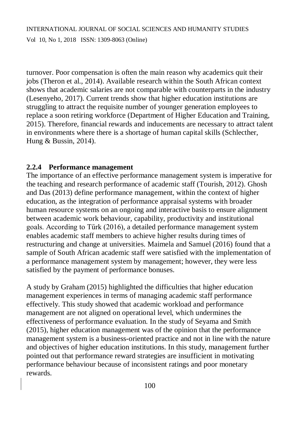turnover. Poor compensation is often the main reason why academics quit their jobs (Theron et al., 2014). Available research within the South African context shows that academic salaries are not comparable with counterparts in the industry (Lesenyeho, 2017). Current trends show that higher education institutions are struggling to attract the requisite number of younger generation employees to replace a soon retiring workforce (Department of Higher Education and Training, 2015). Therefore, financial rewards and inducements are necessary to attract talent in environments where there is a shortage of human capital skills (Schlecther, Hung & Bussin, 2014).

### **2.2.4 Performance management**

The importance of an effective performance management system is imperative for the teaching and research performance of academic staff (Tourish, 2012). Ghosh and Das (2013) define performance management, within the context of higher education, as the integration of performance appraisal systems with broader human resource systems on an ongoing and interactive basis to ensure alignment between academic work behaviour, capability, productivity and institutional goals. According to Tűrk (2016), a detailed performance management system enables academic staff members to achieve higher results during times of restructuring and change at universities. Maimela and Samuel (2016) found that a sample of South African academic staff were satisfied with the implementation of a performance management system by management; however, they were less satisfied by the payment of performance bonuses.

A study by Graham (2015) highlighted the difficulties that higher education management experiences in terms of managing academic staff performance effectively. This study showed that academic workload and performance management are not aligned on operational level, which undermines the effectiveness of performance evaluation. In the study of Seyama and Smith (2015), higher education management was of the opinion that the performance management system is a business-oriented practice and not in line with the nature and objectives of higher education institutions. In this study, management further pointed out that performance reward strategies are insufficient in motivating performance behaviour because of inconsistent ratings and poor monetary rewards.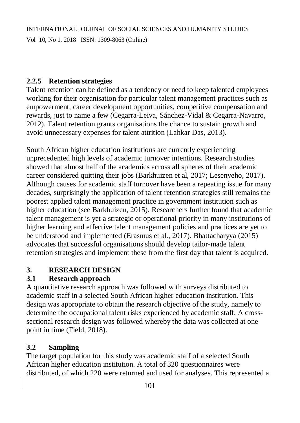## **2.2.5 Retention strategies**

Talent retention can be defined as a tendency or need to keep talented employees working for their organisation for particular talent management practices such as empowerment, career development opportunities, competitive compensation and rewards, just to name a few (Cegarra-Leiva, Sánchez-Vidal & Cegarra-Navarro, 2012). Talent retention grants organisations the chance to sustain growth and avoid unnecessary expenses for talent attrition (Lahkar Das, 2013).

South African higher education institutions are currently experiencing unprecedented high levels of academic turnover intentions. Research studies showed that almost half of the academics across all spheres of their academic career considered quitting their jobs (Barkhuizen et al, 2017; Lesenyeho, 2017). Although causes for academic staff turnover have been a repeating issue for many decades, surprisingly the application of talent retention strategies still remains the poorest applied talent management practice in government institution such as higher education (see Barkhuizen, 2015). Researchers further found that academic talent management is yet a strategic or operational priority in many institutions of higher learning and effective talent management policies and practices are yet to be understood and implemented (Erasmus et al., 2017). Bhattacharyya (2015) advocates that successful organisations should develop tailor-made talent retention strategies and implement these from the first day that talent is acquired.

# **3. RESEARCH DESIGN**

# **3.1 Research approach**

A quantitative research approach was followed with surveys distributed to academic staff in a selected South African higher education institution. This design was appropriate to obtain the research objective of the study, namely to determine the occupational talent risks experienced by academic staff. A crosssectional research design was followed whereby the data was collected at one point in time (Field, 2018).

# **3.2 Sampling**

The target population for this study was academic staff of a selected South African higher education institution. A total of 320 questionnaires were distributed, of which 220 were returned and used for analyses. This represented a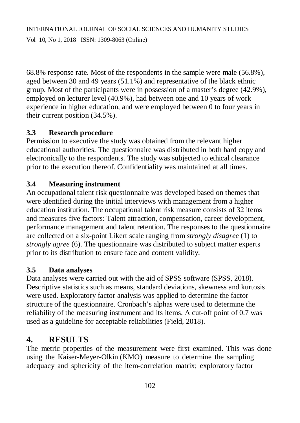68.8% response rate. Most of the respondents in the sample were male (56.8%), aged between 30 and 49 years (51.1%) and representative of the black ethnic group. Most of the participants were in possession of a master's degree (42.9%), employed on lecturer level (40.9%), had between one and 10 years of work experience in higher education, and were employed between 0 to four years in their current position (34.5%).

# **3.3 Research procedure**

Permission to executive the study was obtained from the relevant higher educational authorities. The questionnaire was distributed in both hard copy and electronically to the respondents. The study was subjected to ethical clearance prior to the execution thereof. Confidentiality was maintained at all times.

# **3.4 Measuring instrument**

An occupational talent risk questionnaire was developed based on themes that were identified during the initial interviews with management from a higher education institution. The occupational talent risk measure consists of 32 items and measures five factors: Talent attraction, compensation, career development, performance management and talent retention. The responses to the questionnaire are collected on a six-point Likert scale ranging from *strongly disagree* (1) to *strongly agree* (6). The questionnaire was distributed to subject matter experts prior to its distribution to ensure face and content validity.

## **3.5 Data analyses**

Data analyses were carried out with the aid of SPSS software (SPSS, 2018). Descriptive statistics such as means, standard deviations, skewness and kurtosis were used. Exploratory factor analysis was applied to determine the factor structure of the questionnaire. Cronbach's alphas were used to determine the reliability of the measuring instrument and its items. A cut-off point of 0.7 was used as a guideline for acceptable reliabilities (Field, 2018).

# **4. RESULTS**

The metric properties of the measurement were first examined. This was done using the Kaiser-Meyer-Olkin (KMO) measure to determine the sampling adequacy and sphericity of the item-correlation matrix; exploratory factor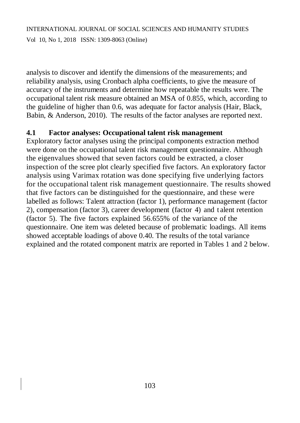# INTERNATIONAL JOURNAL OF SOCIAL SCIENCES AND HUMANITY STUDIES Vol 10, No 1, 2018 ISSN: 1309-8063 (Online)

analysis to discover and identify the dimensions of the measurements; and reliability analysis, using Cronbach alpha coefficients, to give the measure of accuracy of the instruments and determine how repeatable the results were. The occupational talent risk measure obtained an MSA of 0.855, which, according to the guideline of higher than 0.6, was adequate for factor analysis (Hair, Black, Babin, & Anderson, 2010). The results of the factor analyses are reported next.

### **4.1 Factor analyses: Occupational talent risk management**

Exploratory factor analyses using the principal components extraction method were done on the occupational talent risk management questionnaire. Although the eigenvalues showed that seven factors could be extracted, a closer inspection of the scree plot clearly specified five factors. An exploratory factor analysis using Varimax rotation was done specifying five underlying factors for the occupational talent risk management questionnaire. The results showed that five factors can be distinguished for the questionnaire, and these were labelled as follows: Talent attraction (factor 1), performance management (factor 2), compensation (factor 3), career development (factor 4) and t alent retention (factor 5). The five factors explained 56.655% of the variance of the questionnaire. One item was deleted because of problematic loadings. All items showed acceptable loadings of above 0.40. The results of the total variance explained and the rotated component matrix are reported in Tables 1 and 2 below.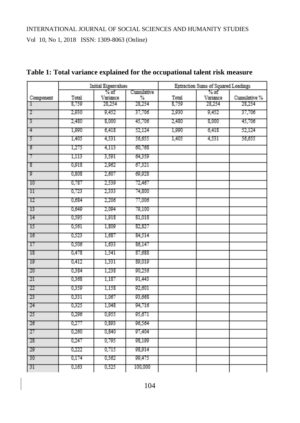|                 | <b>Initial Eigenvalues</b> |                  |                 | Extraction Sums of Squared Loadings |                    |              |  |
|-----------------|----------------------------|------------------|-----------------|-------------------------------------|--------------------|--------------|--|
| Component       | Total                      | % of<br>Variance | Cumulative<br>℅ | Total                               | $%$ of<br>Variance | Cumulative % |  |
| Π               | 8,759                      | 28,254           | 28,254          | 8,759                               | 28,254             | 28,254       |  |
| $\overline{2}$  | 2,930                      | 9,452            | 37,706          | 2,930                               | 9,452              | 37,706       |  |
| 3               | 2,480                      | 8,000            | 45,706          | 2,480                               | 8,000              | 45,706       |  |
| $\frac{4}{7}$   | 1,990                      | 6,418            | 52,124          | 1,990                               | 6,418              | 52,124       |  |
| $\overline{5}$  | 1,405                      | 4,531            | 56,655          | 1,405                               | 4,531              | 56,655       |  |
| $\overline{6}$  | 1,275                      | 4,113            | 60,768          |                                     |                    |              |  |
| 7               | 1,113                      | 3,591            | 64,359          |                                     |                    |              |  |
| ্ত              | 0,918                      | 2,962            | 67,321          |                                     |                    |              |  |
| 9               | 0,808                      | 2,607            | 69,928          |                                     |                    |              |  |
| 10              | 0,787                      | 2,539            | 72,467          |                                     |                    |              |  |
| $\mathbb{H}$    | 0,723                      | 2,333            | 74,800          |                                     |                    |              |  |
| 12              | 0,684                      | 2,206            | 77,006          |                                     |                    |              |  |
| 13              | 0,649                      | 2,094            | 79,100          |                                     |                    |              |  |
| 14              | 0,595                      | 1,918            | 81,018          |                                     |                    |              |  |
| $\overline{15}$ | 0,561                      | 1,809            | 82,827          |                                     |                    |              |  |
| 16              | 0,523                      | 1,687            | 84,514          |                                     |                    |              |  |
| 17              | 0,506                      | 1,633            | 86,147          |                                     |                    |              |  |
| <sup>18</sup>   | 0,478                      | 1,541            | 87,688          |                                     |                    |              |  |
| 19              | 0,412                      | 1,331            | 89,019          |                                     |                    |              |  |
| 20              | 0,384                      | 1,238            | 90,256          |                                     |                    |              |  |
| 21              | 0,368                      | 1,187            | 91,443          |                                     |                    |              |  |
| 22              | 0,359                      | 1,158            | 92,601          |                                     |                    |              |  |
| 23              | 0,331                      | 1,067            | 93,668          |                                     |                    |              |  |
| 24              | 0,325                      | 1,048            | 94,716          |                                     |                    |              |  |
| 25              | 0,296                      | 0,955            | 95,671          |                                     |                    |              |  |
| 26              | 0,277                      | 0,893            | 96,564          |                                     |                    |              |  |
| 27              | 0,260                      | 0,840            | 97,404          |                                     |                    |              |  |
| 28              | 0,247                      | 0,795            | 98,199          |                                     |                    |              |  |
| 29              | 0,222                      | 0,715            | 98,914          |                                     |                    |              |  |
| 30              | 0,174                      | 0,562            | 99,475          |                                     |                    |              |  |
| 31              | 0.163                      | 0,525            | 100,000         |                                     |                    |              |  |

## **Table 1: Total variance explained for the occupational talent risk measure**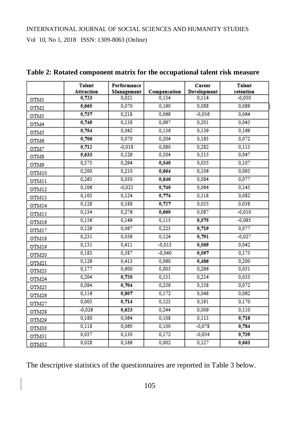|       | Talent<br>Attraction | Performance<br>Management | Compensation | Career<br>Development | Talent<br>retention |
|-------|----------------------|---------------------------|--------------|-----------------------|---------------------|
| OTM1  | 0,723                | 0,021                     | 0.134        | 0,114                 | $-0.050$            |
| OTM2  | 0,665                | 0,070                     | 0,190        | 0,088                 | 0,089               |
| OTM3  | 0,737                | 0,218                     | 0,069        | $-0,036$              | 0,064               |
| OTM4  | 0,749                | 0,138                     | 0,097        | 0,201                 | 0,045               |
| OTM5  | 0,754                | 0,042                     | 0,136        | 0,139                 | 0,169               |
| OTM6  | 0,706                | 0,070                     | 0,204        | 0,163                 | 0,072               |
| OTM7  | 0,712                | $-0,018$                  | 0,080        | 0,282                 | 0,113               |
| OTM8  | 0,633                | 0,129                     | 0,304        | 0,115                 | 0,047               |
| OTM9  | 0,373                | 0,294                     | 0,540        | 0,035                 | 0,107               |
| OTM10 | 0,200                | 0,210                     | 0,664        | 0,106                 | 0,095               |
| OTM11 | 0,263                | 0,030                     | 0,646        | 0,084                 | 0,077               |
| OTM12 | 0,106                | $-0,021$                  | 0,740        | 0,064                 | 0,145               |
| OTM13 | 0,103                | 0,124                     | 0,774        | 0,118                 | 0,082               |
| OTM14 | 0,128                | 0,188                     | 0,727        | 0,035                 | 0,038               |
| OTM15 | 0,134                | 0,276                     | 0,660        | 0,087                 | $-0.010$            |
| OTM16 | 0,156                | 0,149                     | 0,115        | 0,575                 | -0,095              |
| OTM17 | 0,129                | 0,067                     | 0,223        | 0,719                 | 0,077               |
| OTM18 | 0,231                | 0,059                     | 0,124        | 0,791                 | $-0,027$            |
| OTM19 | 0,131                | 0,411                     | $-0.013$     | 0,569                 | 0,042               |
| OTM20 | 0,183                | 0,387                     | $-0,040$     | 0,597                 | 0,175               |
| OTM21 | 0,129                | 0,413                     | 0,060        | 0,486                 | 0,200               |
| OTM23 | 0,177                | 0,600                     | 0,005        | 0,296                 | 0,051               |
| OTM24 | 0,204                | 0,720                     | 0,131        | 0,214                 | 0,053               |
| OTM25 | 0,084                | 0,704                     | 0,259        | 0,158                 | 0,072               |
| OTM26 | 0,116                | 0,807                     | 0,172        | 0,048                 | 0,062               |
| OTM27 | 0,003                | 0,714                     | 0,123        | 0,191                 | 0,170               |
| OTM28 | $-0,026$             | 0,623                     | 0,244        | 0,009                 | 0,110               |
| OTM29 | 0,180                | 0,064                     | 0,108        | 0,113                 | 0,718               |
| OTM30 | 0,118                | 0,060                     | 0,100        | $-0,078$              | 0,784               |
| OTM31 | 0,037                | 0,130                     | 0,172        | $-0,034$              | 0,739               |
| OTM32 | 0,028                | 0,166                     | 0,002        | 0,127                 | 0,663               |

**Table 2: Rotated component matrix for the occupational talent risk measure**

The descriptive statistics of the questionnaires are reported in Table 3 below.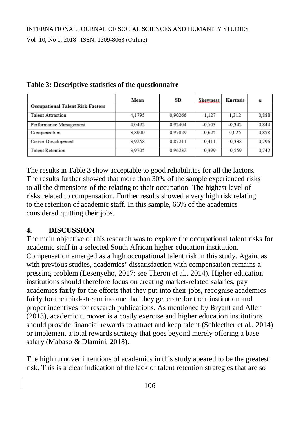|                                         | Mean   | SD      | <b>Skewness</b> | Kurtosis | α     |
|-----------------------------------------|--------|---------|-----------------|----------|-------|
| <b>Occupational Talent Risk Factors</b> |        |         |                 |          |       |
| Talent Attraction                       | 4.1795 | 0.90266 | $-1.127$        | 1.312    | 0,888 |
| Performance Management                  | 4.0492 | 0.92404 | $-0.503$        | $-0.342$ | 0.844 |
| Compensation                            | 3,8000 | 0.97029 | $-0.625$        | 0.025    | 0,858 |
| Career Development                      | 3,9258 | 0,87211 | $-0.411$        | $-0.338$ | 0,796 |
| Talent Retention                        | 3.9705 | 0.96232 | $-0.399$        | $-0.559$ | 0,742 |

#### **Table 3: Descriptive statistics of the questionnaire**

The results in Table 3 show acceptable to good reliabilities for all the factors. The results further showed that more than 30% of the sample experienced risks to all the dimensions of the relating to their occupation. The highest level of risks related to compensation. Further results showed a very high risk relating to the retention of academic staff. In this sample, 66% of the academics considered quitting their jobs.

### **4. DISCUSSION**

The main objective of this research was to explore the occupational talent risks for academic staff in a selected South African higher education institution. Compensation emerged as a high occupational talent risk in this study. Again, as with previous studies, academics' dissatisfaction with compensation remains a pressing problem (Lesenyeho, 2017; see Theron et al., 2014). Higher education institutions should therefore focus on creating market-related salaries, pay academics fairly for the efforts that they put into their jobs, recognise academics fairly for the third-stream income that they generate for their institution and proper incentives for research publications. As mentioned by Bryant and Allen (2013), academic turnover is a costly exercise and higher education institutions should provide financial rewards to attract and keep talent (Schlecther et al., 2014) or implement a total rewards strategy that goes beyond merely offering a base salary (Mabaso & Dlamini, 2018).

The high turnover intentions of academics in this study apeared to be the greatest risk. This is a clear indication of the lack of talent retention strategies that are so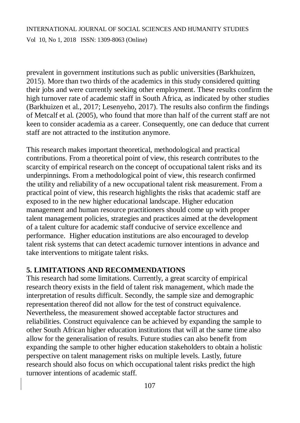prevalent in government institutions such as public universities (Barkhuizen, 2015). More than two thirds of the academics in this study considered quitting their jobs and were currently seeking other employment. These results confirm the high turnover rate of academic staff in South Africa, as indicated by other studies (Barkhuizen et al., 2017; Lesenyeho, 2017). The results also confirm the findings of Metcalf et al. (2005), who found that more than half of the current staff are not keen to consider academia as a career. Consequently, one can deduce that current staff are not attracted to the institution anymore.

This research makes important theoretical, methodological and practical contributions. From a theoretical point of view, this research contributes to the scarcity of empirical research on the concept of occupational talent risks and its underpinnings. From a methodological point of view, this research confirmed the utility and reliability of a new occupational talent risk measurement. From a practical point of view, this research highlights the risks that academic staff are exposed to in the new higher educational landscape. Higher education management and human resource practitioners should come up with proper talent management policies, strategies and practices aimed at the development of a talent culture for academic staff conducive of service excellence and performance. Higher education institutions are also encouraged to develop talent risk systems that can detect academic turnover intentions in advance and take interventions to mitigate talent risks.

## **5. LIMITATIONS AND RECOMMENDATIONS**

This research had some limitations. Currently, a great scarcity of empirical research theory exists in the field of talent risk management, which made the interpretation of results difficult. Secondly, the sample size and demographic representation thereof did not allow for the test of construct equivalence. Nevertheless, the measurement showed acceptable factor structures and reliabilities. Construct equivalence can be achieved by expanding the sample to other South African higher education institutions that will at the same time also allow for the generalisation of results. Future studies can also benefit from expanding the sample to other higher education stakeholders to obtain a holistic perspective on talent management risks on multiple levels. Lastly, future research should also focus on which occupational talent risks predict the high turnover intentions of academic staff.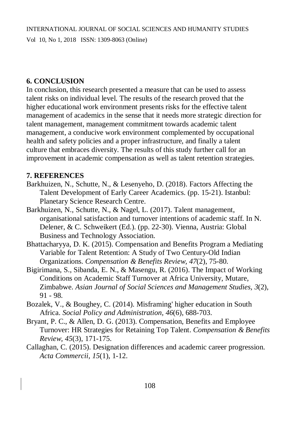### **6. CONCLUSION**

In conclusion, this research presented a measure that can be used to assess talent risks on individual level. The results of the research proved that the higher educational work environment presents risks for the effective talent management of academics in the sense that it needs more strategic direction for talent management, management commitment towards academic talent management, a conducive work environment complemented by occupational health and safety policies and a proper infrastructure, and finally a talent culture that embraces diversity. The results of this study further call for an improvement in academic compensation as well as talent retention strategies.

### **7. REFERENCES**

- Barkhuizen, N., Schutte, N., & Lesenyeho, D. (2018). Factors Affecting the Talent Development of Early Career Academics. (pp. 15-21). Istanbul: Planetary Science Research Centre.
- Barkhuizen, N., Schutte, N., & Nagel, L. (2017). Talent management, organisational satisfaction and turnover intentions of academic staff. In N. Delener, & C. Schweikert (Ed.). (pp. 22-30). Vienna, Austria: Global Business and Technology Association.
- Bhattacharyya, D. K. (2015). Compensation and Benefits Program a Mediating Variable for Talent Retention: A Study of Two Century-Old Indian Organizations. *Compensation & Benefits Review, 47*(2), 75-80.
- Bigirimana, S., Sibanda, E. N., & Masengu, R. (2016). The Impact of Working Conditions on Academic Staff Turnover at Africa University, Mutare, Zimbabwe. *Asian Journal of Social Sciences and Management Studies, 3*(2), 91 - 98.
- Bozalek, V., & Boughey, C. (2014). Misframing' higher education in South Africa. *Social Policy and Administration, 46*(6), 688-703.
- Bryant, P. C., & Allen, D. G. (2013). Compensation, Benefits and Employee Turnover: HR Strategies for Retaining Top Talent. *Compensation & Benefits Review, 45*(3), 171-175.
- Callaghan, C. (2015). Designation differences and academic career progression. *Acta Commercii, 15*(1), 1-12.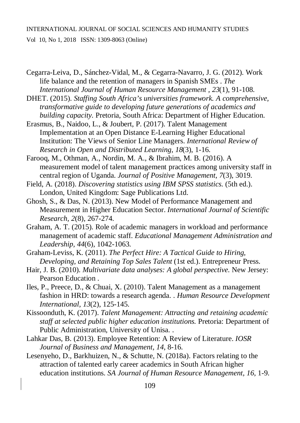INTERNATIONAL JOURNAL OF SOCIAL SCIENCES AND HUMANITY STUDIES

Vol 10, No 1, 2018 ISSN: 1309-8063 (Online)

Cegarra-Leiva, D., Sánchez-Vidal, M., & Cegarra-Navarro, J. G. (2012). Work life balance and the retention of managers in Spanish SMEs . *The International Journal of Human Resource Management , 23*(1), 91-108.

DHET. (2015). *Staffing South Africa's universities framework. A comprehensive, transformative guide to developing future generations of academics and building capacity.* Pretoria, South Africa: Department of Higher Education.

Erasmus, B., Naidoo, L., & Joubert, P. (2017). Talent Management Implementation at an Open Distance E-Learning Higher Educational Institution: The Views of Senior Line Managers. *International Review of Research in Open and Distributed Learning, 18*(3), 1-16.

Farooq, M., Othman, A., Nordin, M. A., & Ibrahim, M. B. (2016). A measurement model of talent management practices among university staff in central region of Uganda. *Journal of Positive Management, 7*(3), 3019.

Field, A. (2018). *Discovering statistics using IBM SPSS statistics.* (5th ed.). London, United Kingdom: Sage Publications Ltd.

Ghosh, S., & Das, N. (2013). New Model of Performance Management and Measurement in Higher Education Sector. *International Journal of Scientific Research, 2*(8), 267-274.

Graham, A. T. (2015). Role of academic managers in workload and performance management of academic staff. *Educational Management Administration and Leadership, 44*(6), 1042-1063.

Graham-Leviss, K. (2011). *The Perfect Hire: A Tactical Guide to Hiring, Developing, and Retaining Top Sales Talent* (1st ed.). Entrepreneur Press.

- Hair, J. B. (2010). *Multivariate data analyses: A global perspective.* New Jersey: Pearson Education .
- Iles, P., Preece, D., & Chuai, X. (2010). Talent Management as a management fashion in HRD: towards a research agenda. . *Human Resource Development International, 13*(2), 125-145.
- Kissoonduth, K. (2017). *Talent Management: Attracting and retaining academic staff at selected public higher education institutions.* Pretoria: Department of Public Administration, University of Unisa. .
- Lahkar Das, B. (2013). Employee Retention: A Review of Literature. *IOSR Journal of Business and Management, 14*, 8-16.
- Lesenyeho, D., Barkhuizen, N., & Schutte, N. (2018a). Factors relating to the attraction of talented early career academics in South African higher education institutions. *SA Journal of Human Resource Management, 16*, 1-9.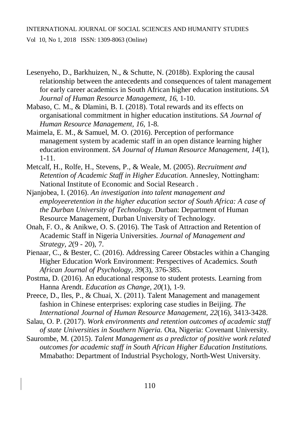- Lesenyeho, D., Barkhuizen, N., & Schutte, N. (2018b). Exploring the causal relationship between the antecedents and consequences of talent management for early career academics in South African higher education institutions. *SA Journal of Human Resource Management, 16*, 1-10.
- Mabaso, C. M., & Dlamini, B. I. (2018). Total rewards and its effects on organisational commitment in higher education institutions. *SA Journal of Human Resource Management, 16*, 1-8.
- Maimela, E. M., & Samuel, M. O. (2016). Perception of performance management system by academic staff in an open distance learning higher education environment. *SA Journal of Human Resource Management, 14*(1), 1-11.
- Metcalf, H., Rolfe, H., Stevens, P., & Weale, M. (2005). *Recruitment and Retention of Academic Staff in Higher Education.* Annesley, Nottingham: National Institute of Economic and Social Research .
- Njanjobea, I. (2016). *An investigation into talent management and employeeretention in the higher education sector of South Africa: A case of the Durban University of Technology.* Durban: Department of Human Resource Management, Durban University of Technology.
- Onah, F. O., & Anikwe, O. S. (2016). The Task of Attraction and Retention of Academic Staff in Nigeria Universities. *Journal of Management and Strategy, 2*(9 - 20), 7.
- Pienaar, C., & Bester, C. (2016). Addressing Career Obstacles within a Changing Higher Education Work Environment: Perspectives of Academics. *South African Journal of Psychology, 39*(3), 376-385.
- Postma, D. (2016). An educational response to student protests. Learning from Hanna Arendt. *Education as Change, 20*(1), 1-9.
- Preece, D., Iles, P., & Chuai, X. (2011). Talent Management and management fashion in Chinese enterprises: exploring case studies in Beijing. *The International Journal of Human Resource Management, 22*(16), 3413-3428.
- Salau, O. P. (2017). *Work environments and retention outcomes of academic staff of state Universities in Southern Nigeria.* Ota, Nigeria: Covenant University.
- Saurombe, M. (2015). *Talent Management as a predictor of positive work related outcomes for academic staff in South African Higher Education Institutions.* Mmabatho: Department of Industrial Psychology, North-West University.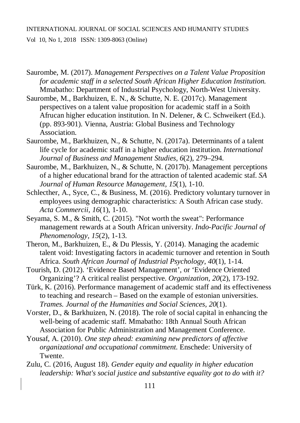- Saurombe, M. (2017). *Management Perspectives on a Talent Value Proposition for academic staff in a selected South African Higher Education Institution.* Mmabatho: Department of Industrial Psychology, North-West University.
- Saurombe, M., Barkhuizen, E. N., & Schutte, N. E. (2017c). Management perspectives on a talent value proposition for academic staff in a Soith Afrucan higher education institution. In N. Delener, & C. Schweikert (Ed.). (pp. 893-901). Vienna, Austria: Global Business and Technology Association.
- Saurombe, M., Barkhuizen, N., & Schutte, N. (2017a). Determinants of a talent life cycle for academic staff in a higher education institution. *International Journal of Business and Management Studies, 6*(2), 279–294.
- Saurombe, M., Barkhuizen, N., & Schutte, N. (2017b). Management perceptions of a higher educational brand for the attraction of talented academic staf. *SA Journal of Human Resource Management, 15*(1), 1-10.
- Schlecther, A., Syce, C., & Business, M. (2016). Predictory voluntary turnover in employees using demographic characteristics: A South African case study. *Acta Commercii, 16*(1), 1-10.
- Seyama, S. M., & Smith, C. (2015). "Not worth the sweat": Performance management rewards at a South African university. *Indo-Pacific Journal of Phenomenology, 15*(2), 1-13.
- Theron, M., Barkhuizen, E., & Du Plessis, Y. (2014). Managing the academic talent void: Investigating factors in academic turnover and retention in South Africa. *South African Journal of Industrial Psychology, 40*(1), 1-14.
- Tourish, D. (2012). 'Evidence Based Management', or 'Evidence Oriented Organizing'? A critical realist perspective. *Organization, 20*(2), 173-192.
- Türk, K. (2016). Performance management of academic staff and its effectiveness to teaching and research – Based on the example of estonian universities. *Trames. Journal of the Humanities and Social Sciences, 20*(1).
- Vorster, D., & Barkhuizen, N. (2018). The role of social capital in enhancing the well-being of academic staff. Mmabatho: 18th Annual South African Association for Public Administration and Management Conference.
- Yousaf, A. (2010). *One step ahead: examining new predictors of affective organizational and occupational commitment.* Enschede: University of Twente.
- Zulu, C. (2016, August 18). *Gender equity and equality in higher education leadership: What's social justice and substantive equality got to do with it?*